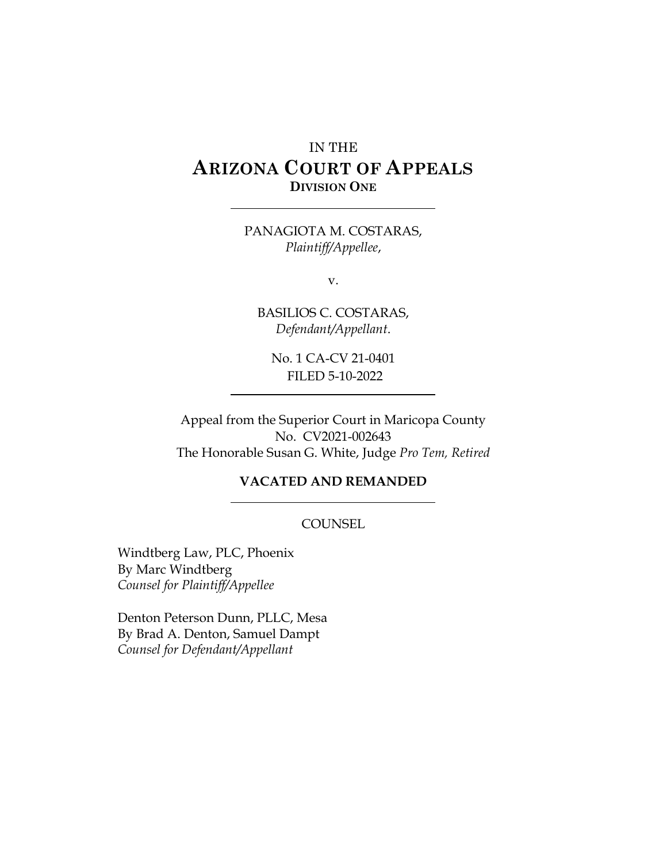# IN THE **ARIZONA COURT OF APPEALS DIVISION ONE**

PANAGIOTA M. COSTARAS, *Plaintiff/Appellee*,

v.

BASILIOS C. COSTARAS, *Defendant/Appellant*.

No. 1 CA-CV 21-0401 FILED 5-10-2022

Appeal from the Superior Court in Maricopa County No. CV2021-002643 The Honorable Susan G. White, Judge *Pro Tem, Retired*

### **VACATED AND REMANDED**

#### **COUNSEL**

Windtberg Law, PLC, Phoenix By Marc Windtberg *Counsel for Plaintiff/Appellee*

Denton Peterson Dunn, PLLC, Mesa By Brad A. Denton, Samuel Dampt *Counsel for Defendant/Appellant*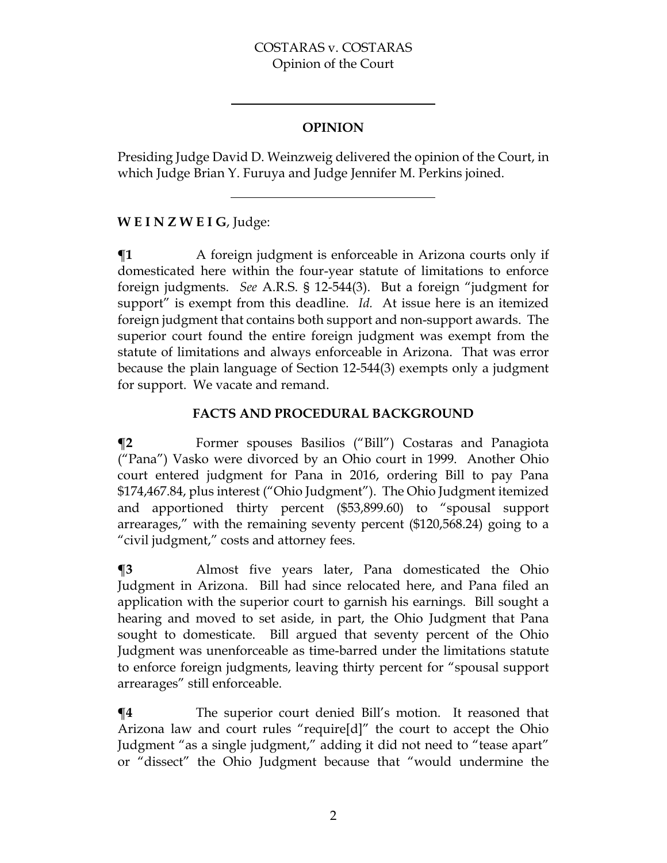### COSTARAS v. COSTARAS Opinion of the Court

## **OPINION**

Presiding Judge David D. Weinzweig delivered the opinion of the Court, in which Judge Brian Y. Furuya and Judge Jennifer M. Perkins joined.

# **W E I N Z W E I G**, Judge:

 $\P$ **1** A foreign judgment is enforceable in Arizona courts only if domesticated here within the four-year statute of limitations to enforce foreign judgments. *See* A.R.S. § 12-544(3). But a foreign "judgment for support" is exempt from this deadline. *Id.* At issue here is an itemized foreign judgment that contains both support and non-support awards. The superior court found the entire foreign judgment was exempt from the statute of limitations and always enforceable in Arizona. That was error because the plain language of Section 12-544(3) exempts only a judgment for support. We vacate and remand.

# **FACTS AND PROCEDURAL BACKGROUND**

**¶2** Former spouses Basilios ("Bill") Costaras and Panagiota ("Pana") Vasko were divorced by an Ohio court in 1999. Another Ohio court entered judgment for Pana in 2016, ordering Bill to pay Pana \$174,467.84, plus interest ("Ohio Judgment"). The Ohio Judgment itemized and apportioned thirty percent (\$53,899.60) to "spousal support arrearages," with the remaining seventy percent (\$120,568.24) going to a "civil judgment," costs and attorney fees.

**¶3** Almost five years later, Pana domesticated the Ohio Judgment in Arizona. Bill had since relocated here, and Pana filed an application with the superior court to garnish his earnings. Bill sought a hearing and moved to set aside, in part, the Ohio Judgment that Pana sought to domesticate. Bill argued that seventy percent of the Ohio Judgment was unenforceable as time-barred under the limitations statute to enforce foreign judgments, leaving thirty percent for "spousal support arrearages" still enforceable.

**¶4** The superior court denied Bill's motion. It reasoned that Arizona law and court rules "require[d]" the court to accept the Ohio Judgment "as a single judgment," adding it did not need to "tease apart" or "dissect" the Ohio Judgment because that "would undermine the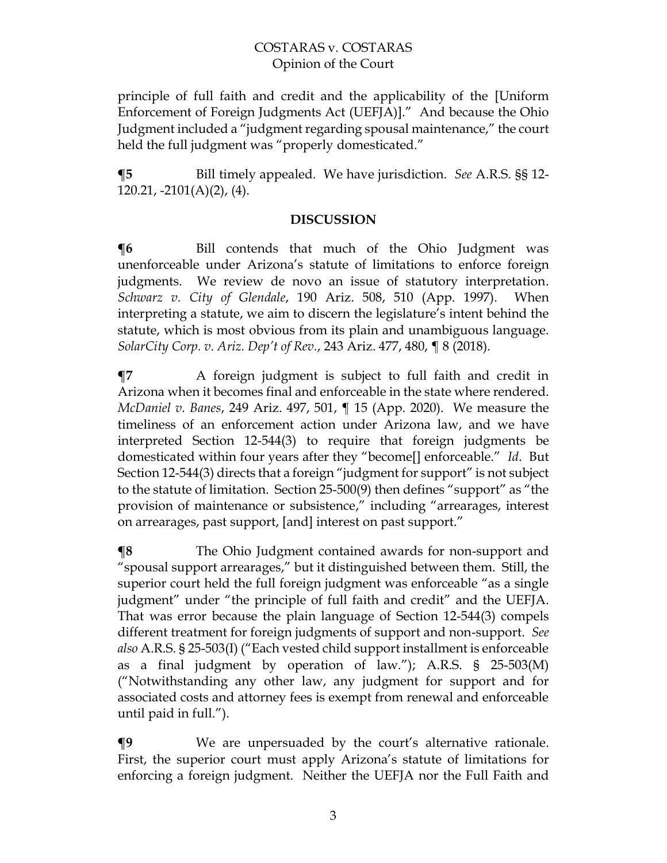principle of full faith and credit and the applicability of the [Uniform Enforcement of Foreign Judgments Act (UEFJA)]." And because the Ohio Judgment included a "judgment regarding spousal maintenance," the court held the full judgment was "properly domesticated."

**¶5** Bill timely appealed. We have jurisdiction. *See* A.R.S. §§ 12-  $120.21$ ,  $-2101(A)(2)$ ,  $(4)$ .

#### **DISCUSSION**

**¶6** Bill contends that much of the Ohio Judgment was unenforceable under Arizona's statute of limitations to enforce foreign judgments. We review de novo an issue of statutory interpretation. *Schwarz v. City of Glendale*, 190 Ariz. 508, 510 (App. 1997). When interpreting a statute, we aim to discern the legislature's intent behind the statute, which is most obvious from its plain and unambiguous language. *SolarCity Corp. v. Ariz. Dep't of Rev.*, 243 Ariz. 477, 480, ¶ 8 (2018).

**¶7** A foreign judgment is subject to full faith and credit in Arizona when it becomes final and enforceable in the state where rendered. *McDaniel v. Banes*, 249 Ariz. 497, 501, ¶ 15 (App. 2020). We measure the timeliness of an enforcement action under Arizona law, and we have interpreted Section 12-544(3) to require that foreign judgments be domesticated within four years after they "become[] enforceable." *Id*. But Section 12-544(3) directs that a foreign "judgment for support" is not subject to the statute of limitation. Section 25-500(9) then defines "support" as "the provision of maintenance or subsistence," including "arrearages, interest on arrearages, past support, [and] interest on past support."

**¶8** The Ohio Judgment contained awards for non-support and "spousal support arrearages," but it distinguished between them. Still, the superior court held the full foreign judgment was enforceable "as a single judgment" under "the principle of full faith and credit" and the UEFJA. That was error because the plain language of Section 12-544(3) compels different treatment for foreign judgments of support and non-support. *See also* A.R.S. § 25-503(I) ("Each vested child support installment is enforceable as a final judgment by operation of law."); A.R.S. § 25-503(M) ("Notwithstanding any other law, any judgment for support and for associated costs and attorney fees is exempt from renewal and enforceable until paid in full.").

**¶9** We are unpersuaded by the court's alternative rationale. First, the superior court must apply Arizona's statute of limitations for enforcing a foreign judgment. Neither the UEFJA nor the Full Faith and